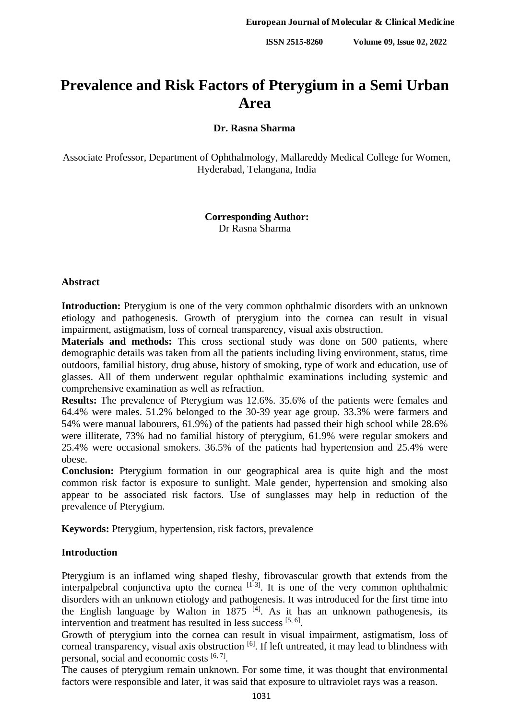# **Prevalence and Risk Factors of Pterygium in a Semi Urban Area**

## **Dr. Rasna Sharma**

Associate Professor, Department of Ophthalmology, Mallareddy Medical College for Women, Hyderabad, Telangana, India

### **Corresponding Author:** Dr Rasna Sharma

#### **Abstract**

**Introduction:** Pterygium is one of the very common ophthalmic disorders with an unknown etiology and pathogenesis. Growth of pterygium into the cornea can result in visual impairment, astigmatism, loss of corneal transparency, visual axis obstruction.

**Materials and methods:** This cross sectional study was done on 500 patients, where demographic details was taken from all the patients including living environment, status, time outdoors, familial history, drug abuse, history of smoking, type of work and education, use of glasses. All of them underwent regular ophthalmic examinations including systemic and comprehensive examination as well as refraction.

**Results:** The prevalence of Pterygium was 12.6%. 35.6% of the patients were females and 64.4% were males. 51.2% belonged to the 30-39 year age group. 33.3% were farmers and 54% were manual labourers, 61.9%) of the patients had passed their high school while 28.6% were illiterate, 73% had no familial history of pterygium, 61.9% were regular smokers and 25.4% were occasional smokers. 36.5% of the patients had hypertension and 25.4% were obese.

**Conclusion:** Pterygium formation in our geographical area is quite high and the most common risk factor is exposure to sunlight. Male gender, hypertension and smoking also appear to be associated risk factors. Use of sunglasses may help in reduction of the prevalence of Pterygium.

**Keywords:** Pterygium, hypertension, risk factors, prevalence

#### **Introduction**

Pterygium is an inflamed wing shaped fleshy, fibrovascular growth that extends from the interpalpebral conjunctiva upto the cornea  $\left[1-3\right]$ . It is one of the very common ophthalmic disorders with an unknown etiology and pathogenesis. It was introduced for the first time into the English language by Walton in 1875  $\overline{A}$ . As it has an unknown pathogenesis, its intervention and treatment has resulted in less success [5, 6].

Growth of pterygium into the cornea can result in visual impairment, astigmatism, loss of corneal transparency, visual axis obstruction  $\left[6\right]$ . If left untreated, it may lead to blindness with personal, social and economic costs [6,7].

The causes of pterygium remain unknown. For some time, it was thought that environmental factors were responsible and later, it was said that exposure to ultraviolet rays was a reason.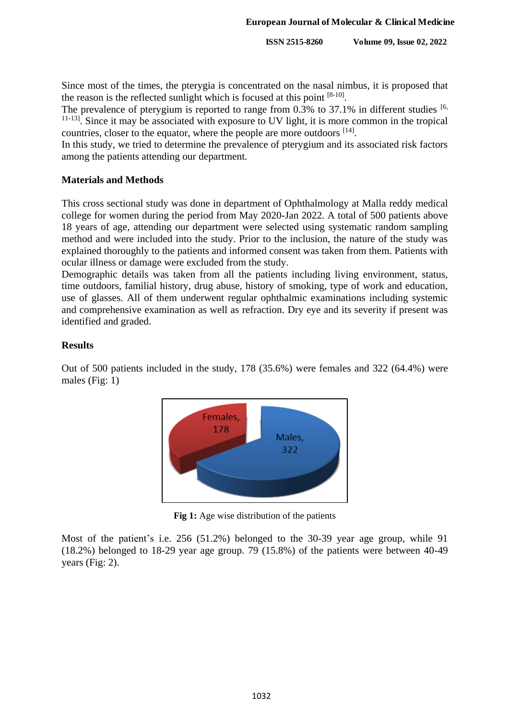Since most of the times, the pterygia is concentrated on the nasal nimbus, it is proposed that the reason is the reflected sunlight which is focused at this point  $[8-10]$ .

The prevalence of pterygium is reported to range from  $0.3\%$  to 37.1% in different studies [6, <sup>11-13]</sup>. Since it may be associated with exposure to UV light, it is more common in the tropical countries, closer to the equator, where the people are more outdoors  $[14]$ .

In this study, we tried to determine the prevalence of pterygium and its associated risk factors among the patients attending our department.

#### **Materials and Methods**

This cross sectional study was done in department of Ophthalmology at Malla reddy medical college for women during the period from May 2020-Jan 2022. A total of 500 patients above 18 years of age, attending our department were selected using systematic random sampling method and were included into the study. Prior to the inclusion, the nature of the study was explained thoroughly to the patients and informed consent was taken from them. Patients with ocular illness or damage were excluded from the study.

Demographic details was taken from all the patients including living environment, status, time outdoors, familial history, drug abuse, history of smoking, type of work and education, use of glasses. All of them underwent regular ophthalmic examinations including systemic and comprehensive examination as well as refraction. Dry eye and its severity if present was identified and graded.

## **Results**

Out of 500 patients included in the study, 178 (35.6%) were females and 322 (64.4%) were males (Fig: 1)



**Fig 1:** Age wise distribution of the patients

Most of the patient's i.e. 256 (51.2%) belonged to the 30-39 year age group, while 91 (18.2%) belonged to 18-29 year age group. 79 (15.8%) of the patients were between 40-49 years (Fig: 2).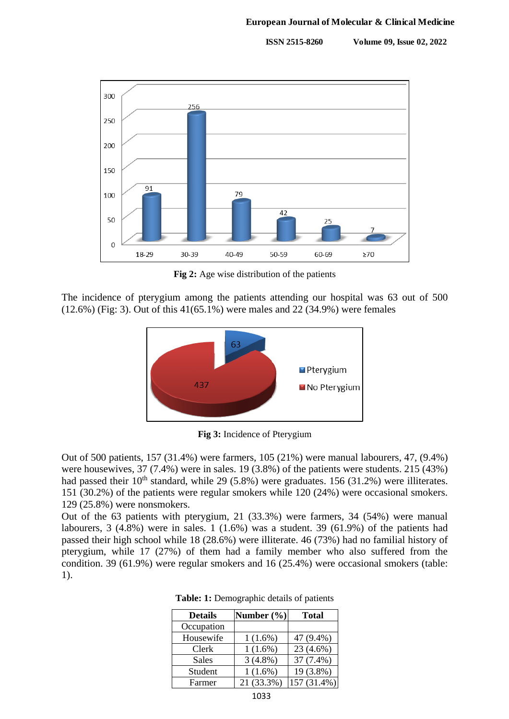

**Fig 2:** Age wise distribution of the patients

The incidence of pterygium among the patients attending our hospital was 63 out of 500 (12.6%) (Fig: 3). Out of this 41(65.1%) were males and 22 (34.9%) were females



**Fig 3:** Incidence of Pterygium

Out of 500 patients, 157 (31.4%) were farmers, 105 (21%) were manual labourers, 47, (9.4%) were housewives, 37 (7.4%) were in sales. 19 (3.8%) of the patients were students. 215 (43%) had passed their  $10^{th}$  standard, while 29 (5.8%) were graduates. 156 (31.2%) were illiterates. 151 (30.2%) of the patients were regular smokers while 120 (24%) were occasional smokers. 129 (25.8%) were nonsmokers.

Out of the 63 patients with pterygium, 21 (33.3%) were farmers, 34 (54%) were manual labourers, 3 (4.8%) were in sales. 1 (1.6%) was a student. 39 (61.9%) of the patients had passed their high school while 18 (28.6%) were illiterate. 46 (73%) had no familial history of pterygium, while 17 (27%) of them had a family member who also suffered from the condition. 39 (61.9%) were regular smokers and 16 (25.4%) were occasional smokers (table: 1).

| <b>Details</b> | Number $(\% )$ | <b>Total</b> |
|----------------|----------------|--------------|
| Occupation     |                |              |
| Housewife      | $1(1.6\%)$     | 47 (9.4%)    |
| Clerk          | $1(1.6\%)$     | 23 (4.6%)    |
| Sales          | $3(4.8\%)$     | 37 (7.4%)    |
| Student        | $1(1.6\%)$     | 19 (3.8%)    |
| Farmer         | 21 (33.3%)     | 157 (31.4%)  |

**Table: 1:** Demographic details of patients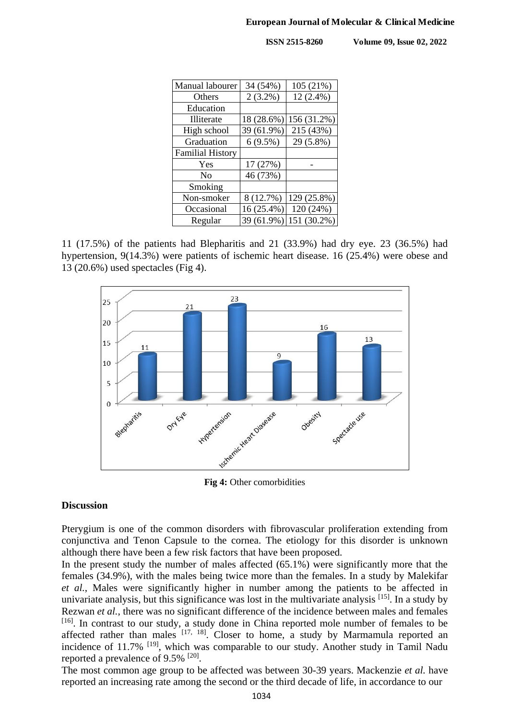| Manual labourer         | 34 (54%)   | 105 (21%)   |
|-------------------------|------------|-------------|
| Others                  | $2(3.2\%)$ | $12(2.4\%)$ |
| Education               |            |             |
| <b>Illiterate</b>       | 18 (28.6%) | 156 (31.2%) |
| High school             | 39 (61.9%) | 215 (43%)   |
| Graduation              | $6(9.5\%)$ | 29 (5.8%)   |
| <b>Familial History</b> |            |             |
| Yes                     | 17 (27%)   |             |
| No                      | 46 (73%)   |             |
| Smoking                 |            |             |
| Non-smoker              | 8 (12.7%)  | 129 (25.8%) |
| Occasional              | 16 (25.4%) | 120 (24%)   |
| Regular                 | 39 (61.9%) | 151 (30.2%) |

11 (17.5%) of the patients had Blepharitis and 21 (33.9%) had dry eye. 23 (36.5%) had hypertension, 9(14.3%) were patients of ischemic heart disease. 16 (25.4%) were obese and 13 (20.6%) used spectacles (Fig 4).



**Fig 4:** Other comorbidities

#### **Discussion**

Pterygium is one of the common disorders with fibrovascular proliferation extending from conjunctiva and Tenon Capsule to the cornea. The etiology for this disorder is unknown although there have been a few risk factors that have been proposed.

In the present study the number of males affected (65.1%) were significantly more that the females (34.9%), with the males being twice more than the females. In a study by Malekifar *et al.*, Males were significantly higher in number among the patients to be affected in univariate analysis, but this significance was lost in the multivariate analysis <sup>[15]</sup>. In a study by Rezwan *et al.*, there was no significant difference of the incidence between males and females [16]. In contrast to our study, a study done in China reported mole number of females to be affected rather than males  $[17, 18]$ . Closer to home, a study by Marmamula reported an incidence of 11.7% <sup>[19]</sup>, which was comparable to our study. Another study in Tamil Nadu reported a prevalence of  $9.5\%$   $^{[20]}$ .

The most common age group to be affected was between 30-39 years. Mackenzie *et al.* have reported an increasing rate among the second or the third decade of life, in accordance to our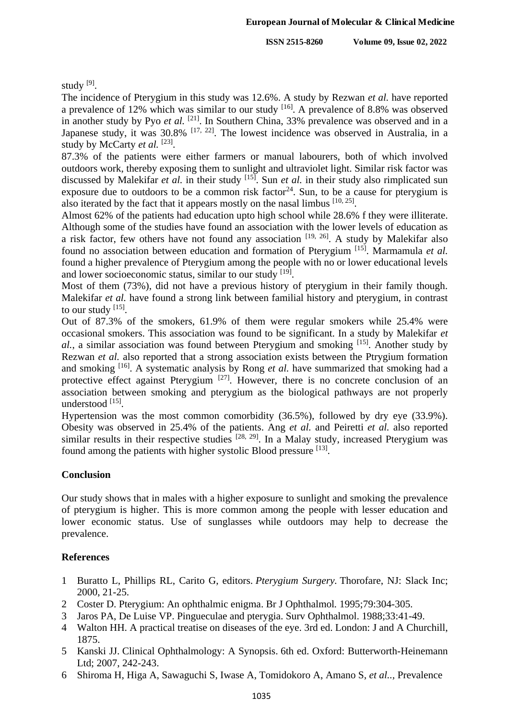study [9].

The incidence of Pterygium in this study was 12.6%. A study by Rezwan *et al.* have reported a prevalence of 12% which was similar to our study  $[16]$ . A prevalence of 8.8% was observed in another study by Pyo et al. <sup>[21]</sup>. In Southern China, 33% prevalence was observed and in a Japanese study, it was  $30.8\%$  <sup>[17, 22]</sup>. The lowest incidence was observed in Australia, in a study by McCarty *et al.* <sup>[23]</sup>.

87.3% of the patients were either farmers or manual labourers, both of which involved outdoors work, thereby exposing them to sunlight and ultraviolet light. Similar risk factor was discussed by Malekifar *et al.* in their study [15] . Sun *et al.* in their study also rimplicated sun exposure due to outdoors to be a common risk factor<sup>24</sup>. Sun, to be a cause for pterygium is also iterated by the fact that it appears mostly on the nasal limbus  $[10, 25]$ .

Almost 62% of the patients had education upto high school while 28.6% f they were illiterate. Although some of the studies have found an association with the lower levels of education as a risk factor, few others have not found any association  $[19, 26]$ . A study by Malekifar also found no association between education and formation of Pterygium<sup>[15]</sup>. Marmamula et al. found a higher prevalence of Pterygium among the people with no or lower educational levels and lower socioeconomic status, similar to our study [19].

Most of them (73%), did not have a previous history of pterygium in their family though. Malekifar *et al.* have found a strong link between familial history and pterygium, in contrast to our study [15].

Out of 87.3% of the smokers, 61.9% of them were regular smokers while 25.4% were occasional smokers. This association was found to be significant. In a study by Malekifar *et*  al., a similar association was found between Pterygium and smoking <sup>[15]</sup>. Another study by Rezwan *et al.* also reported that a strong association exists between the Ptrygium formation and smoking <sup>[16]</sup>. A systematic analysis by Rong *et al*. have summarized that smoking had a protective effect against Pterygium<sup>[27]</sup>. However, there is no concrete conclusion of an association between smoking and pterygium as the biological pathways are not properly understood [15].

Hypertension was the most common comorbidity (36.5%), followed by dry eye (33.9%). Obesity was observed in 25.4% of the patients. Ang *et al.* and Peiretti *et al.* also reported similar results in their respective studies  $[28, 29]$ . In a Malay study, increased Pterygium was found among the patients with higher systolic Blood pressure [13].

## **Conclusion**

Our study shows that in males with a higher exposure to sunlight and smoking the prevalence of pterygium is higher. This is more common among the people with lesser education and lower economic status. Use of sunglasses while outdoors may help to decrease the prevalence.

## **References**

- 1 Buratto L, Phillips RL, Carito G, editors. *Pterygium Surgery.* Thorofare, NJ: Slack Inc; 2000, 21-25.
- 2 Coster D. Pterygium: An ophthalmic enigma. Br J Ophthalmol*.* 1995;79:304-305.
- 3 Jaros PA, De Luise VP. Pingueculae and pterygia. Surv Ophthalmol. 1988;33:41-49.
- 4 Walton HH. A practical treatise on diseases of the eye. 3rd ed. London: J and A Churchill, 1875.
- 5 Kanski JJ. Clinical Ophthalmology: A Synopsis. 6th ed. Oxford: Butterworth-Heinemann Ltd; 2007, 242-243.
- 6 Shiroma H, Higa A, Sawaguchi S, Iwase A, Tomidokoro A, Amano S, *et al..,* Prevalence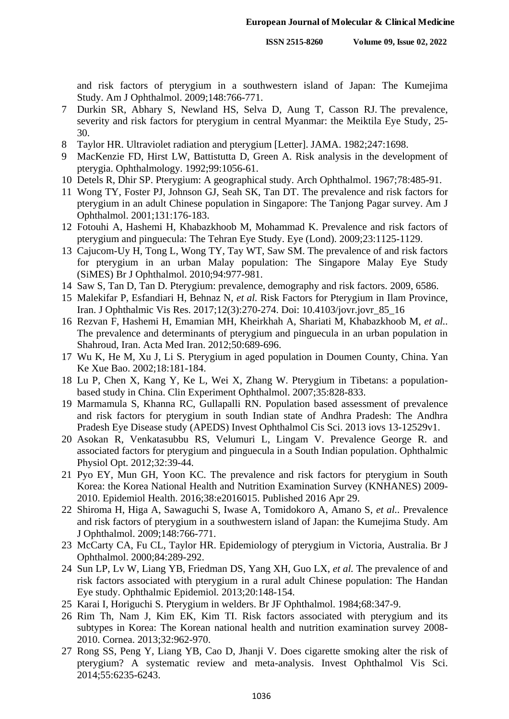and risk factors of pterygium in a southwestern island of Japan: The Kumejima Study. Am J Ophthalmol. 2009;148:766-771.

- 7 Durkin SR, Abhary S, Newland HS, Selva D, Aung T, Casson RJ. The prevalence, severity and risk factors for pterygium in central Myanmar: the Meiktila Eye Study, 25- 30.
- 8 Taylor HR. Ultraviolet radiation and pterygium [Letter]. JAMA. 1982;247:1698.
- 9 MacKenzie FD, Hirst LW, Battistutta D, Green A. Risk analysis in the development of pterygia. Ophthalmology. 1992;99:1056-61.
- 10 Detels R, Dhir SP. Pterygium: A geographical study. Arch Ophthalmol. 1967;78:485-91.
- 11 Wong TY, Foster PJ, Johnson GJ, Seah SK, Tan DT. The prevalence and risk factors for pterygium in an adult Chinese population in Singapore: The Tanjong Pagar survey. Am J Ophthalmol. 2001;131:176-183.
- 12 Fotouhi A, Hashemi H, Khabazkhoob M, Mohammad K. Prevalence and risk factors of pterygium and pinguecula: The Tehran Eye Study. Eye (Lond). 2009;23:1125-1129.
- 13 Cajucom-Uy H, Tong L, Wong TY, Tay WT, Saw SM. The prevalence of and risk factors for pterygium in an urban Malay population: The Singapore Malay Eye Study (SiMES) Br J Ophthalmol. 2010;94:977-981.
- 14 Saw S, Tan D, Tan D. Pterygium: prevalence, demography and risk factors. 2009, 6586.
- 15 Malekifar P, Esfandiari H, Behnaz N, *et al.* Risk Factors for Pterygium in Ilam Province, Iran. J Ophthalmic Vis Res. 2017;12(3):270-274. Doi: 10.4103/jovr.jovr\_85\_16
- 16 Rezvan F, Hashemi H, Emamian MH, Kheirkhah A, Shariati M, Khabazkhoob M, *et al..*  The prevalence and determinants of pterygium and pinguecula in an urban population in Shahroud, Iran. Acta Med Iran. 2012;50:689-696.
- 17 Wu K, He M, Xu J, Li S. Pterygium in aged population in Doumen County, China. Yan Ke Xue Bao. 2002;18:181-184.
- 18 Lu P, Chen X, Kang Y, Ke L, Wei X, Zhang W. Pterygium in Tibetans: a populationbased study in China. Clin Experiment Ophthalmol. 2007;35:828-833.
- 19 Marmamula S, Khanna RC, Gullapalli RN. Population based assessment of prevalence and risk factors for pterygium in south Indian state of Andhra Pradesh: The Andhra Pradesh Eye Disease study (APEDS) Invest Ophthalmol Cis Sci. 2013 iovs 13-12529v1.
- 20 Asokan R, Venkatasubbu RS, Velumuri L, Lingam V. Prevalence George R. and associated factors for pterygium and pinguecula in a South Indian population. Ophthalmic Physiol Opt. 2012;32:39-44.
- 21 Pyo EY, Mun GH, Yoon KC. The prevalence and risk factors for pterygium in South Korea: the Korea National Health and Nutrition Examination Survey (KNHANES) 2009- 2010. Epidemiol Health. 2016;38:e2016015. Published 2016 Apr 29.
- 22 Shiroma H, Higa A, Sawaguchi S, Iwase A, Tomidokoro A, Amano S, *et al..* Prevalence and risk factors of pterygium in a southwestern island of Japan: the Kumejima Study. Am J Ophthalmol. 2009;148:766-771.
- 23 McCarty CA, Fu CL, Taylor HR. Epidemiology of pterygium in Victoria, Australia. Br J Ophthalmol. 2000;84:289-292.
- 24 Sun LP, Lv W, Liang YB, Friedman DS, Yang XH, Guo LX, *et al.* The prevalence of and risk factors associated with pterygium in a rural adult Chinese population: The Handan Eye study. Ophthalmic Epidemiol*.* 2013;20:148-154.
- 25 Karai I, Horiguchi S. Pterygium in welders. Br JF Ophthalmol. 1984;68:347-9.
- 26 Rim Th, Nam J, Kim EK, Kim TI. Risk factors associated with pterygium and its subtypes in Korea: The Korean national health and nutrition examination survey 2008- 2010. Cornea. 2013;32:962-970.
- 27 Rong SS, Peng Y, Liang YB, Cao D, Jhanji V. Does cigarette smoking alter the risk of pterygium? A systematic review and meta-analysis. Invest Ophthalmol Vis Sci. 2014;55:6235-6243.